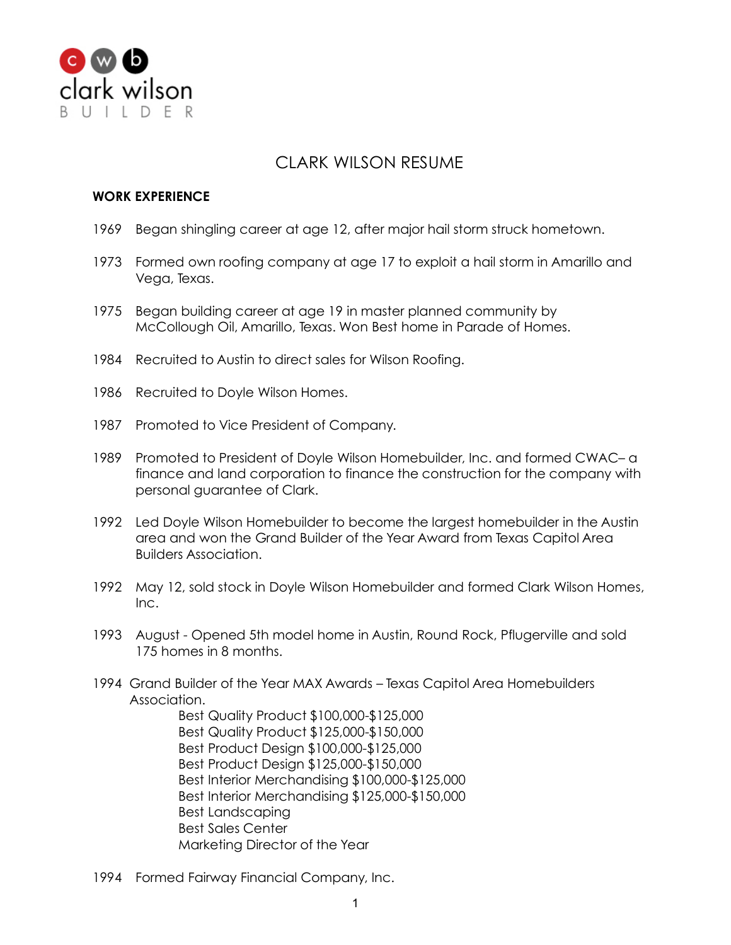

## CLARK WILSON RESUME

## **WORK EXPERIENCE**

- 1969 Began shingling career at age 12, after major hail storm struck hometown.
- 1973 Formed own roofing company at age 17 to exploit a hail storm in Amarillo and Vega, Texas.
- 1975 Began building career at age 19 in master planned community by McCollough Oil, Amarillo, Texas. Won Best home in Parade of Homes.
- 1984 Recruited to Austin to direct sales for Wilson Roofing.
- 1986 Recruited to Doyle Wilson Homes.
- 1987 Promoted to Vice President of Company.
- 1989 Promoted to President of Doyle Wilson Homebuilder, Inc. and formed CWAC– a finance and land corporation to finance the construction for the company with personal guarantee of Clark.
- 1992 Led Doyle Wilson Homebuilder to become the largest homebuilder in the Austin area and won the Grand Builder of the Year Award from Texas Capitol Area Builders Association.
- 1992 May 12, sold stock in Doyle Wilson Homebuilder and formed Clark Wilson Homes, Inc.
- 1993 August Opened 5th model home in Austin, Round Rock, Pflugerville and sold 175 homes in 8 months.
- 1994 Grand Builder of the Year MAX Awards Texas Capitol Area Homebuilders Association.

Best Quality Product \$100,000-\$125,000 Best Quality Product \$125,000-\$150,000 Best Product Design \$100,000-\$125,000 Best Product Design \$125,000-\$150,000 Best Interior Merchandising \$100,000-\$125,000 Best Interior Merchandising \$125,000-\$150,000 Best Landscaping Best Sales Center Marketing Director of the Year

1994 Formed Fairway Financial Company, Inc.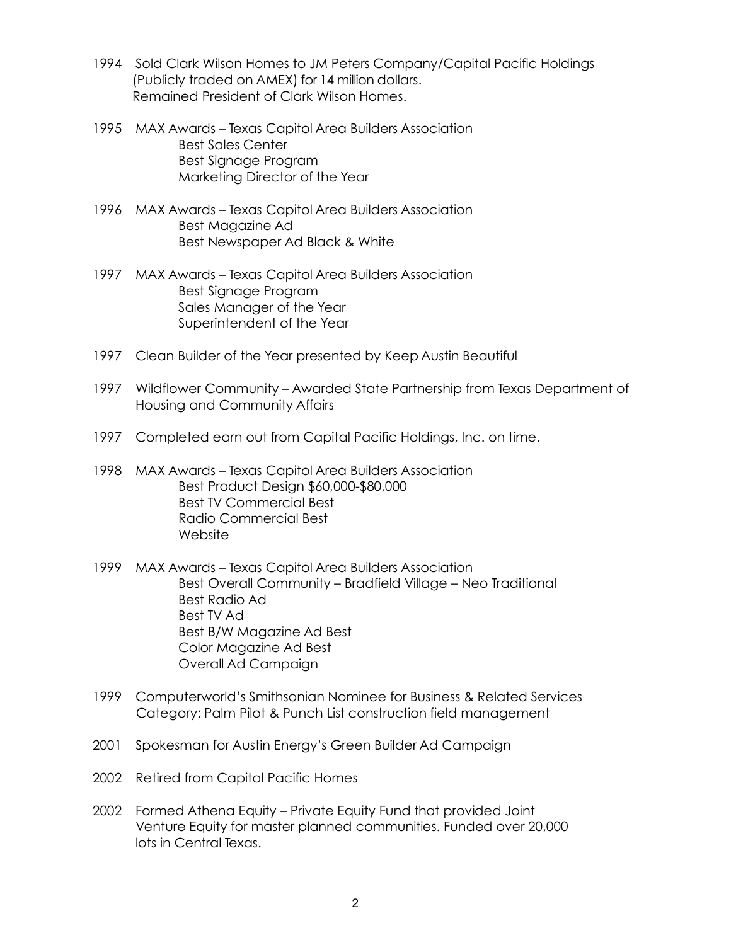- 1994 Sold Clark Wilson Homes to JM Peters Company/Capital Pacific Holdings (Publicly traded on AMEX) for 14 million dollars. Remained President of Clark Wilson Homes.
- 1995 MAX Awards Texas Capitol Area Builders Association Best Sales Center Best Signage Program Marketing Director of the Year
- 1996 MAX Awards Texas Capitol Area Builders Association Best Magazine Ad Best Newspaper Ad Black & White
- 1997 MAX Awards Texas Capitol Area Builders Association Best Signage Program Sales Manager of the Year Superintendent of the Year
- 1997 Clean Builder of the Year presented by Keep Austin Beautiful
- 1997 Wildflower Community Awarded State Partnership from Texas Department of Housing and Community Affairs
- 1997 Completed earn out from Capital Pacific Holdings, Inc. on time.
- 1998 MAX Awards Texas Capitol Area Builders Association Best Product Design \$60,000-\$80,000 Best TV Commercial Best Radio Commercial Best Website
- 1999 MAX Awards Texas Capitol Area Builders Association Best Overall Community – Bradfield Village – Neo Traditional Best Radio Ad Best TV Ad Best B/W Magazine Ad Best Color Magazine Ad Best Overall Ad Campaign
- 1999 Computerworld's Smithsonian Nominee for Business & Related Services Category: Palm Pilot & Punch List construction field management
- 2001 Spokesman for Austin Energy's Green Builder Ad Campaign
- 2002 Retired from Capital Pacific Homes
- 2002 Formed Athena Equity Private Equity Fund that provided Joint Venture Equity for master planned communities. Funded over 20,000 lots in Central Texas.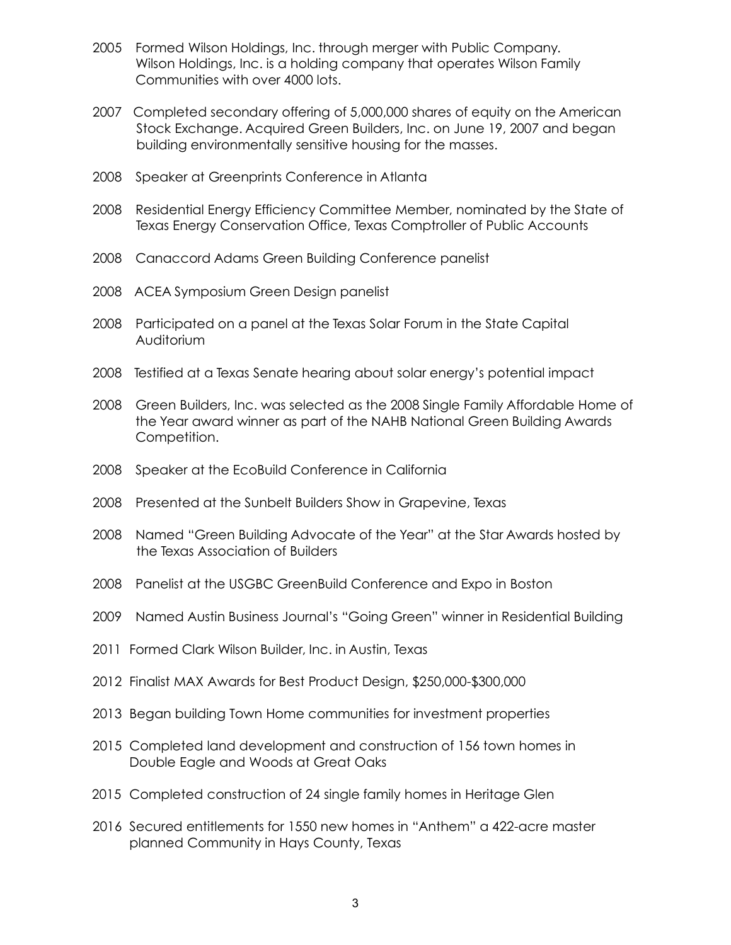- Formed Wilson Holdings, Inc. through merger with Public Company. Wilson Holdings, Inc. is a holding company that operates Wilson Family Communities with over 4000 lots.
- Completed secondary offering of 5,000,000 shares of equity on the American Stock Exchange. Acquired Green Builders, Inc. on June 19, 2007 and began building environmentally sensitive housing for the masses.
- Speaker at Greenprints Conference in Atlanta
- Residential Energy Efficiency Committee Member, nominated by the State of Texas Energy Conservation Office, Texas Comptroller of Public Accounts
- Canaccord Adams Green Building Conference panelist
- ACEA Symposium Green Design panelist
- Participated on a panel at the Texas Solar Forum in the State Capital Auditorium
- Testified at a Texas Senate hearing about solar energy's potential impact
- Green Builders, Inc. was selected as the 2008 Single Family Affordable Home of the Year award winner as part of the NAHB National Green Building Awards Competition.
- Speaker at the EcoBuild Conference in California
- Presented at the Sunbelt Builders Show in Grapevine, Texas
- Named "Green Building Advocate of the Year" at the Star Awards hosted by the Texas Association of Builders
- Panelist at the USGBC GreenBuild Conference and Expo in Boston
- Named Austin Business Journal's "Going Green" winner in Residential Building
- Formed Clark Wilson Builder, Inc. in Austin, Texas
- Finalist MAX Awards for Best Product Design, \$250,000-\$300,000
- Began building Town Home communities for investment properties
- Completed land development and construction of 156 town homes in Double Eagle and Woods at Great Oaks
- Completed construction of 24 single family homes in Heritage Glen
- Secured entitlements for 1550 new homes in "Anthem" a 422-acre master planned Community in Hays County, Texas